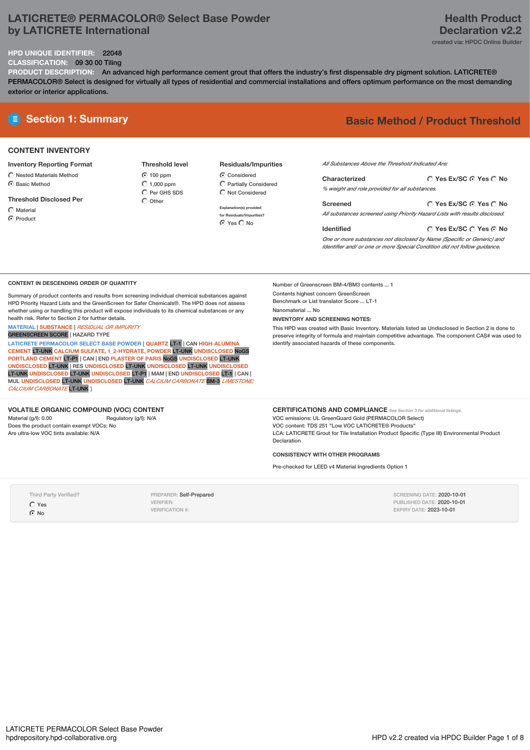### **LATICRETE® PERMACOLOR® Select Base Powder by LATICRETE International**

### **Health Product Declaration v2.2** created via: HPDC Online Builder

#### **HPD UNIQUE IDENTIFIER:** 22048

**CLASSIFICATION:** 09 30 00 Tiling

**PRODUCT DESCRIPTION:** An advanced high performance cement grout that offers the industry's first dispensable dry pigment solution. LATICRETE® PERMACOLOR® Select is designed for virtually all types of residential and commercial installations and offers optimum performance on the most demanding exterior or interior applications.

#### **CONTENT INVENTORY**

**Inventory Reporting Format**

- $\bigcirc$  Nested Materials Method  $\bigcap$  Basic Method
- **Threshold Disclosed Per**

 $\bigcap$  Material C Product

**Threshold level** 100 ppm  $\bigcirc$  1,000 ppm  $\overline{O}$  Per GHS SDS  $\bigcap$  Other

**Residuals/Impurities** Considered Partially Considered  $\bigcirc$  Not Considered

**Explanation(s) provided for Residuals/Impurities?** ⊙ Yes O No

# **E Section 1: Summary Basic Method / Product Threshold**

*All Substances Above the Threshold Indicated Are:*

| Characterized                                  | $\bigcirc$ Yes Ex/SC $\bigcirc$ Yes $\bigcirc$ No |
|------------------------------------------------|---------------------------------------------------|
| % weight and role provided for all substances. |                                                   |
| Screened                                       | ○ Yes Ex/SC ⊙ Yes ○ No                            |

*All substances screened using Priority Hazard Lists with results disclosed.*

**Yes Ex/SC Yes No Identified** *One or more substances not disclosed by Name (Specific or Generic) and Identifier and/ or one or more Special Condition did not follow guidance.*

#### **CONTENT IN DESCENDING ORDER OF QUANTITY**

Summary of product contents and results from screening individual chemical substances against HPD Priority Hazard Lists and the GreenScreen for Safer Chemicals®. The HPD does not assess whether using or handling this product will expose individuals to its chemical substances or any health risk. Refer to Section 2 for further details.

**MATERIAL** | **SUBSTANCE** | *RESIDUAL OR IMPURITY*

GREENSCREEN SCORE | HAZARD TYPE

**LATICRETE PERMACOLOR SELECT BASE POWDER [ QUARTZ** LT-1 | CAN **HIGH-ALUMINA CEMENT** LT-UNK **CALCIUM SULFATE, 1\_2-HYDRATE, POWDER** LT-UNK **UNDISCLOSED** NoGS **PORTLAND CEMENT** LT-P1 | CAN | END **PLASTER OF PARIS** NoGS **UNDISCLOSED** LT-UNK **UNDISCLOSED** LT-UNK | RES **UNDISCLOSED** LT-UNK **UNDISCLOSED** LT-UNK **UNDISCLOSED** LT-UNK **UNDISCLOSED** LT-UNK **UNDISCLOSED** LT-P1 | MAM |END **UNDISCLOSED** LT-1 | CAN | MUL **UNDISCLOSED** LT-UNK **UNDISCLOSED** LT-UNK *CALCIUM CARBONATE* BM-3 *LIMESTONE; CALCIUM CARBONATE* LT-UNK **]**

#### **VOLATILE ORGANIC COMPOUND (VOC) CONTENT**

Material (g/l): 0.00 Regulatory (g/l): N/A Does the product contain exempt VOCs: No Are ultra-low VOC tints available: N/A

Number of Greenscreen BM-4/BM3 contents ... 1 Contents highest concern GreenScreen

Benchmark or List translator Score ... LT-1 Nanomaterial ... No

**INVENTORY AND SCREENING NOTES:**

This HPD was created with Basic Inventory. Materials listed as Undisclosed in Section 2 is done to preserve integrity of formula and maintain competitive advantage. The component CAS# was used to identify associated hazards of these components.

**CERTIFICATIONS AND COMPLIANCE** *See Section <sup>3</sup> for additional listings.* VOC emissions: UL GreenGuard Gold (PERMACOLOR Select) VOC content: TDS 251 "Low VOC LATICRETE® Products" LCA: LATICRETE Grout for Tile Installation Product Specific (Type III) Environmental Product Declaration

**CONSISTENCY WITH OTHER PROGRAMS**

Pre-checked for LEED v4 Material Ingredients Option 1

Third Party Verified?

Yes **C** No

PREPARER: Self-Prepared VERIFIER: VERIFICATION #:

SCREENING DATE: 2020-10-01 PUBLISHED DATE: 2020-10-01 EXPIRY DATE: 2023-10-01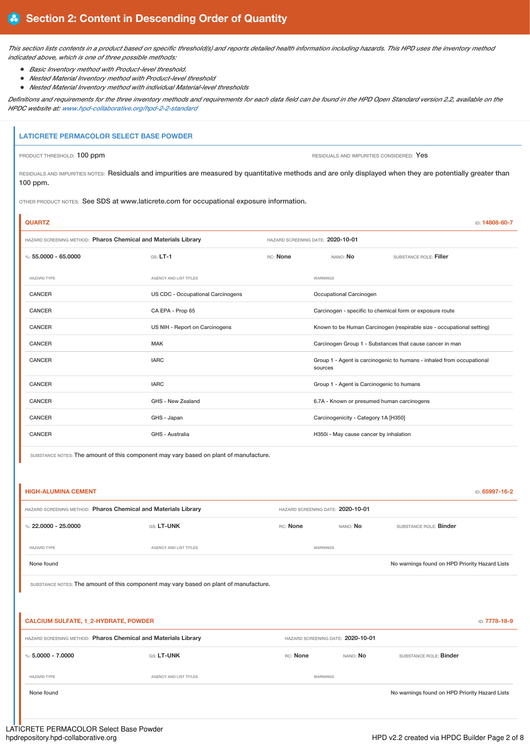This section lists contents in a product based on specific threshold(s) and reports detailed health information including hazards. This HPD uses the inventory method *indicated above, which is one of three possible methods:*

- *Basic Inventory method with Product-level threshold.*
- *Nested Material Inventory method with Product-level threshold*
- *Nested Material Inventory method with individual Material-level thresholds*

Definitions and requirements for the three inventory methods and requirements for each data field can be found in the HPD Open Standard version 2.2, available on the *HPDC website at: [www.hpd-collaborative.org/hpd-2-2-standard](https://www.hpd-collaborative.org/hpd-2-2-standard)*

#### **LATICRETE PERMACOLOR SELECT BASE POWDER**

i.

PRODUCT THRESHOLD: 100 ppm **PRODUCT THRESHOLD: 100 ppm** RESIDUALS AND IMPURITIES CONSIDERED: Yes

RESIDUALS AND IMPURITIES NOTES: Residuals and impurities are measured by quantitative methods and are only displayed when they are potentially greater than 100 ppm.

OTHER PRODUCT NOTES: See SDS at www.laticrete.com for occupational exposure information.

| <b>QUARTZ</b>                                                  |                                   |                                   |                                            | ID: 14808-60-7                                                        |
|----------------------------------------------------------------|-----------------------------------|-----------------------------------|--------------------------------------------|-----------------------------------------------------------------------|
| HAZARD SCREENING METHOD: Pharos Chemical and Materials Library |                                   | HAZARD SCREENING DATE: 2020-10-01 |                                            |                                                                       |
| %: 55,0000 - 65,0000                                           | $GS: LT-1$                        | RC: None                          | NANO: No                                   | SUBSTANCE ROLE: Filler                                                |
| <b>HAZARD TYPE</b>                                             | AGENCY AND LIST TITLES            |                                   | WARNINGS                                   |                                                                       |
| <b>CANCER</b>                                                  | US CDC - Occupational Carcinogens |                                   | Occupational Carcinogen                    |                                                                       |
| <b>CANCER</b>                                                  | CA EPA - Prop 65                  |                                   |                                            | Carcinogen - specific to chemical form or exposure route              |
| <b>CANCER</b>                                                  | US NIH - Report on Carcinogens    |                                   |                                            | Known to be Human Carcinogen (respirable size - occupational setting) |
| CANCER                                                         | <b>MAK</b>                        |                                   |                                            | Carcinogen Group 1 - Substances that cause cancer in man              |
| <b>CANCER</b>                                                  | <b>IARC</b>                       |                                   | sources                                    | Group 1 - Agent is carcinogenic to humans - inhaled from occupational |
| <b>CANCER</b>                                                  | <b>IARC</b>                       |                                   | Group 1 - Agent is Carcinogenic to humans  |                                                                       |
| <b>CANCER</b>                                                  | GHS - New Zealand                 |                                   | 6.7A - Known or presumed human carcinogens |                                                                       |
| <b>CANCER</b>                                                  | GHS - Japan                       |                                   | Carcinogenicity - Category 1A [H350]       |                                                                       |
| <b>CANCER</b>                                                  | GHS - Australia                   |                                   | H350i - May cause cancer by inhalation     |                                                                       |

SUBSTANCE NOTES: The amount of this component may vary based on plant of manufacture.

|                                             | HAZARD SCREENING METHOD: Pharos Chemical and Materials Library                        |          | HAZARD SCREENING DATE: 2020-10-01 |                                                |  |
|---------------------------------------------|---------------------------------------------------------------------------------------|----------|-----------------------------------|------------------------------------------------|--|
| %: $22,0000 - 25,0000$                      | GS: LT-UNK                                                                            | RC: None | NANO: No                          | SUBSTANCE ROLE: Binder                         |  |
| <b>HAZARD TYPE</b>                          | AGENCY AND LIST TITLES                                                                |          | WARNINGS                          |                                                |  |
| None found                                  |                                                                                       |          |                                   | No warnings found on HPD Priority Hazard Lists |  |
|                                             | SUBSTANCE NOTES: The amount of this component may vary based on plant of manufacture. |          |                                   |                                                |  |
|                                             |                                                                                       |          |                                   | ID: 7778-18-9                                  |  |
| <b>CALCIUM SULFATE, 1_2-HYDRATE, POWDER</b> | HAZARD SCREENING METHOD: Pharos Chemical and Materials Library                        |          | HAZARD SCREENING DATE: 2020-10-01 |                                                |  |
| %: $5,0000 - 7,0000$                        | GS: LT-UNK                                                                            | RC: None | NANO: No                          | SUBSTANCE ROLE: Binder                         |  |
| <b>HAZARD TYPE</b>                          | AGENCY AND LIST TITLES                                                                |          | WARNINGS                          |                                                |  |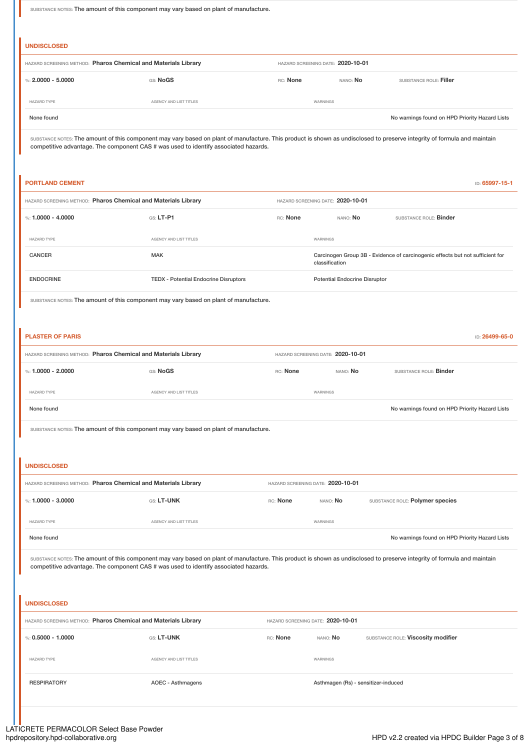SUBSTANCE NOTES: The amount of this component may vary based on plant of manufacture.

# **UNDISCLOSED** HAZARD SCREENING METHOD: **Pharos Chemical and Materials Library** HAZARD SCREENING DATE: **2020-10-01** %: **2.0000 - 5.0000** GS: **NoGS** RC: **None** NANO: **No** SUBSTANCE ROLE: **Filler** HAZARD TYPE AGENCY AND LIST TITLES WARNINGS None found on HPD Priority Hazard Lists

SUBSTANCE NOTES: The amount of this component may vary based on plant of manufacture. This product is shown as undisclosed to preserve integrity of formula and maintain competitive advantage. The component CAS # was used to identify associated hazards.

# **PORTLAND CEMENT** ID: **65997-15-1** HAZARD SCREENING METHOD: **Pharos Chemical and Materials Library** HAZARD SCREENING DATE: **2020-10-01** %: **1.0000 - 4.0000 GS: LT-P1** GS: LT-P1 RC: None NANO: No SUBSTANCE ROLE: Binder HAZARD TYPE AGENCY AND LIST TITLES WARNINGS CANCER **CANCER** CANCER MAK MAK Carcinogen Group 3B - Evidence of carcinogenic effects but not sufficient for classification ENDOCRINE TEDX - Potential Endocrine Disruptors Potential Endocrine Disruptor

SUBSTANCE NOTES: The amount of this component may vary based on plant of manufacture.

| <b>PLASTER OF PARIS</b>                                        |                        |                                   |                 |                                                | ID: 26499-65-0 |
|----------------------------------------------------------------|------------------------|-----------------------------------|-----------------|------------------------------------------------|----------------|
| HAZARD SCREENING METHOD: Pharos Chemical and Materials Library |                        | HAZARD SCREENING DATE: 2020-10-01 |                 |                                                |                |
| %: 1.0000 - 2.0000                                             | GS: NoGS               | RC: None                          | nano: <b>No</b> | SUBSTANCE ROLE: <b>Binder</b>                  |                |
| <b>HAZARD TYPE</b>                                             | AGENCY AND LIST TITLES | WARNINGS                          |                 |                                                |                |
| None found                                                     |                        |                                   |                 | No warnings found on HPD Priority Hazard Lists |                |

SUBSTANCE NOTES: The amount of this component may vary based on plant of manufacture.

#### **UNDISCLOSED**

| HAZARD SCREENING METHOD: Pharos Chemical and Materials Library |                               |  | HAZARD SCREENING DATE: 2020-10-01 |                                                |  |
|----------------------------------------------------------------|-------------------------------|--|-----------------------------------|------------------------------------------------|--|
| %: 1.0000 - 3.0000                                             | <b>GS: LT-UNK</b><br>RC: None |  | nano: <b>No</b>                   | SUBSTANCE ROLE: Polymer species                |  |
| <b>HAZARD TYPE</b>                                             | AGENCY AND LIST TITLES        |  | WARNINGS                          |                                                |  |
| None found                                                     |                               |  |                                   | No warnings found on HPD Priority Hazard Lists |  |

SUBSTANCE NOTES: The amount of this component may vary based on plant of manufacture. This product is shown as undisclosed to preserve integrity of formula and maintain competitive advantage. The component CAS # was used to identify associated hazards.

#### **UNDISCLOSED**

| HAZARD SCREENING METHOD: Pharos Chemical and Materials Library |                        |          | HAZARD SCREENING DATE: 2020-10-01   |                                    |
|----------------------------------------------------------------|------------------------|----------|-------------------------------------|------------------------------------|
| %: $0.5000 - 1.0000$                                           | <b>GS: LT-UNK</b>      | RC: None | NANO: <b>No</b>                     | SUBSTANCE ROLE: Viscosity modifier |
| <b>HAZARD TYPE</b>                                             | AGENCY AND LIST TITLES |          | WARNINGS                            |                                    |
| <b>RESPIRATORY</b>                                             | AOEC - Asthmagens      |          | Asthmagen (Rs) - sensitizer-induced |                                    |
|                                                                |                        |          |                                     |                                    |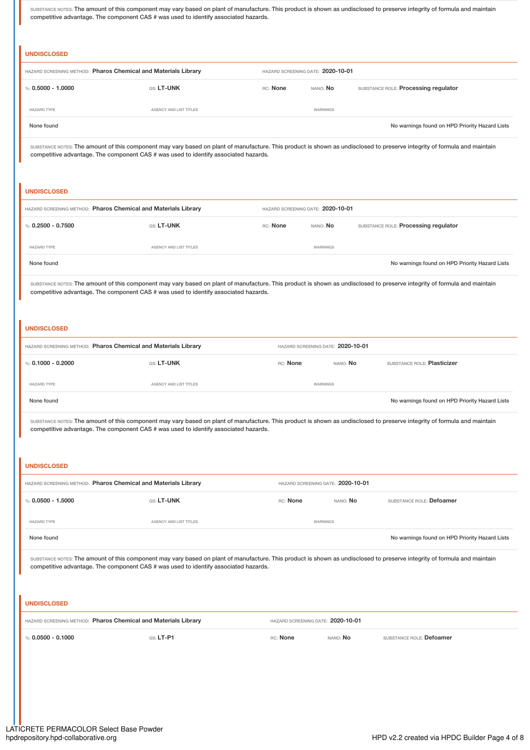SUBSTANCE NOTES: The amount of this component may vary based on plant of manufacture. This product is shown as undisclosed to preserve integrity of formula and maintain competitive advantage. The component CAS # was used to identify associated hazards.

|                      | HAZARD SCREENING METHOD: Pharos Chemical and Materials Library                      |          | HAZARD SCREENING DATE: 2020-10-01 |                                                                                                                                                                          |
|----------------------|-------------------------------------------------------------------------------------|----------|-----------------------------------|--------------------------------------------------------------------------------------------------------------------------------------------------------------------------|
| %: $0.5000 - 1.0000$ | GS: LT-UNK                                                                          | RC: None | NANO: No                          | SUBSTANCE ROLE: Processing regulator                                                                                                                                     |
| <b>HAZARD TYPE</b>   | AGENCY AND LIST TITLES                                                              |          | WARNINGS                          |                                                                                                                                                                          |
| None found           |                                                                                     |          |                                   | No warnings found on HPD Priority Hazard Lists                                                                                                                           |
|                      | competitive advantage. The component CAS # was used to identify associated hazards. |          |                                   | SUBSTANCE NOTES: The amount of this component may vary based on plant of manufacture. This product is shown as undisclosed to preserve integrity of formula and maintain |
| <b>UNDISCLOSED</b>   | HAZARD SCREENING METHOD: Pharos Chemical and Materials Library                      |          | HAZARD SCREENING DATE: 2020-10-01 |                                                                                                                                                                          |
| %: $0.2500 - 0.7500$ | GS: LT-UNK                                                                          | RC: None | NANO: No                          | SUBSTANCE ROLE: Processing regulator                                                                                                                                     |
| <b>HAZARD TYPE</b>   | AGENCY AND LIST TITLES                                                              |          | WARNINGS                          |                                                                                                                                                                          |

#### **UNDISCLOSED**

|                    | HAZARD SCREENING METHOD: Pharos Chemical and Materials Library |          | HAZARD SCREENING DATE: 2020-10-01 |                                                |
|--------------------|----------------------------------------------------------------|----------|-----------------------------------|------------------------------------------------|
| %: 0.1000 - 0.2000 | <b>GS: LT-UNK</b>                                              | RC: None | NANO: <b>No</b>                   | SUBSTANCE ROLE: Plasticizer                    |
| <b>HAZARD TYPE</b> | AGENCY AND LIST TITLES                                         | WARNINGS |                                   |                                                |
| None found         |                                                                |          |                                   | No warnings found on HPD Priority Hazard Lists |

SUBSTANCE NOTES: The amount of this component may vary based on plant of manufacture. This product is shown as undisclosed to preserve integrity of formula and maintain competitive advantage. The component CAS # was used to identify associated hazards.

#### **UNDISCLOSED**

| HAZARD SCREENING METHOD: Pharos Chemical and Materials Library |                        | HAZARD SCREENING DATE: 2020-10-01 |                 |                                                |
|----------------------------------------------------------------|------------------------|-----------------------------------|-----------------|------------------------------------------------|
| %: $0.0500 - 1.5000$                                           | <b>GS: LT-UNK</b>      | RC: None                          | nano: <b>No</b> | SUBSTANCE ROLE: Defoamer                       |
| <b>HAZARD TYPE</b>                                             | AGENCY AND LIST TITLES | WARNINGS                          |                 |                                                |
| None found                                                     |                        |                                   |                 | No warnings found on HPD Priority Hazard Lists |

SUBSTANCE NOTES: The amount of this component may vary based on plant of manufacture. This product is shown as undisclosed to preserve integrity of formula and maintain competitive advantage. The component CAS # was used to identify associated hazards.

#### **UNDISCLOSED**

| HAZARD SCREENING METHOD: Pharos Chemical and Materials Library |             | HAZARD SCREENING DATE: 2020-10-01 |                      |                                 |
|----------------------------------------------------------------|-------------|-----------------------------------|----------------------|---------------------------------|
| $%0.0500 - 0.1000$                                             | $GS: LT-PI$ | RC: None                          | NANO <sup>.</sup> No | SUBSTANCE ROLE: <b>Defoamer</b> |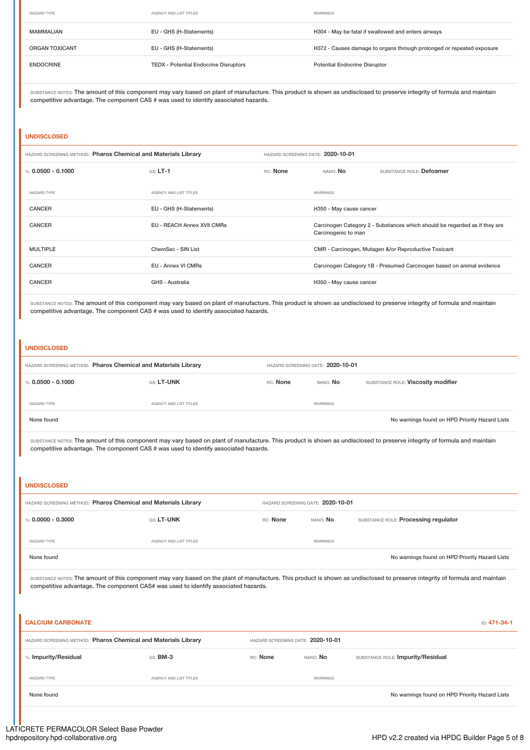| <b>HAZARD TYPE</b>    | AGENCY AND LIST TITLES                       | WARNINGS                                                              |
|-----------------------|----------------------------------------------|-----------------------------------------------------------------------|
| <b>MAMMALIAN</b>      | EU - GHS (H-Statements)                      | H304 - May be fatal if swallowed and enters airways                   |
| <b>ORGAN TOXICANT</b> | EU - GHS (H-Statements)                      | H372 - Causes damage to organs through prolonged or repeated exposure |
| <b>ENDOCRINE</b>      | <b>TEDX - Potential Endocrine Disruptors</b> | <b>Potential Endocrine Disruptor</b>                                  |

SUBSTANCE NOTES: The amount of this component may vary based on plant of manufacture. This product is shown as undisclosed to preserve integrity of formula and maintain competitive advantage. The component CAS # was used to identify associated hazards.

#### **UNDISCLOSED**

|                    | HAZARD SCREENING METHOD: Pharos Chemical and Materials Library |          | HAZARD SCREENING DATE: 2020-10-01                                                                 |                                                      |  |
|--------------------|----------------------------------------------------------------|----------|---------------------------------------------------------------------------------------------------|------------------------------------------------------|--|
| %: 0.0500 - 0.1000 | $GS: LT-1$                                                     | RC: None | NANO: No                                                                                          | SUBSTANCE ROLE: Defoamer                             |  |
| <b>HAZARD TYPE</b> | AGENCY AND LIST TITLES                                         |          | WARNINGS                                                                                          |                                                      |  |
| <b>CANCER</b>      | EU - GHS (H-Statements)                                        |          | H350 - May cause cancer                                                                           |                                                      |  |
| <b>CANCER</b>      | EU - REACH Annex XVII CMRs                                     |          | Carcinogen Category 2 - Substances which should be regarded as if they are<br>Carcinogenic to man |                                                      |  |
| <b>MULTIPLE</b>    | ChemSec - SIN List                                             |          |                                                                                                   | CMR - Carcinogen, Mutagen &/or Reproductive Toxicant |  |
| <b>CANCER</b>      | EU - Annex VI CMRs                                             |          | Carcinogen Category 1B - Presumed Carcinogen based on animal evidence                             |                                                      |  |
| <b>CANCER</b>      | GHS - Australia                                                |          | H350 - May cause cancer                                                                           |                                                      |  |

SUBSTANCE NOTES: The amount of this component may vary based on plant of manufacture. This product is shown as undisclosed to preserve integrity of formula and maintain competitive advantage. The component CAS # was used to identify associated hazards.

#### **UNDISCLOSED**

| HAZARD SCREENING METHOD: Pharos Chemical and Materials Library |                        | HAZARD SCREENING DATE: 2020-10-01 |                 |                                                |
|----------------------------------------------------------------|------------------------|-----------------------------------|-----------------|------------------------------------------------|
| %: 0.0500 - 0.1000                                             | GS: LT-UNK             | RC: None                          | nano: <b>No</b> | SUBSTANCE ROLE: Viscosity modifier             |
| <b>HAZARD TYPE</b>                                             | AGENCY AND LIST TITLES |                                   | WARNINGS        |                                                |
| None found                                                     |                        |                                   |                 | No warnings found on HPD Priority Hazard Lists |

SUBSTANCE NOTES: The amount of this component may vary based on plant of manufacture. This product is shown as undisclosed to preserve integrity of formula and maintain competitive advantage. The component CAS # was used to identify associated hazards.

#### **UNDISCLOSED**

| HAZARD SCREENING METHOD: Pharos Chemical and Materials Library |                        | HAZARD SCREENING DATE: 2020-10-01 |                 |                                                |
|----------------------------------------------------------------|------------------------|-----------------------------------|-----------------|------------------------------------------------|
| %: 0.0000 - 0.3000                                             | GS: LT-UNK             | RC: None                          | NANO: <b>No</b> | SUBSTANCE ROLE: Processing regulator           |
| <b>HAZARD TYPE</b>                                             | AGENCY AND LIST TITLES |                                   | WARNINGS        |                                                |
| None found                                                     |                        |                                   |                 | No warnings found on HPD Priority Hazard Lists |

SUBSTANCE NOTES: The amount of this component may vary based on the plant of manufacture. This product is shown as undisclosed to preserve integrity of formula and maintain competitive advantage. The component CAS# was used to identify associated hazards.

| <b>CALCIUM CARBONATE</b><br>ID: 471-34-1                       |                        |          |                                   |                                                |
|----------------------------------------------------------------|------------------------|----------|-----------------------------------|------------------------------------------------|
| HAZARD SCREENING METHOD: Pharos Chemical and Materials Library |                        |          | HAZARD SCREENING DATE: 2020-10-01 |                                                |
| %: Impurity/Residual                                           | GS: BM-3               | RC: None | NANO: No                          | SUBSTANCE ROLE: Impurity/Residual              |
| <b>HAZARD TYPE</b>                                             | AGENCY AND LIST TITLES |          | WARNINGS                          |                                                |
| None found                                                     |                        |          |                                   | No warnings found on HPD Priority Hazard Lists |
|                                                                |                        |          |                                   |                                                |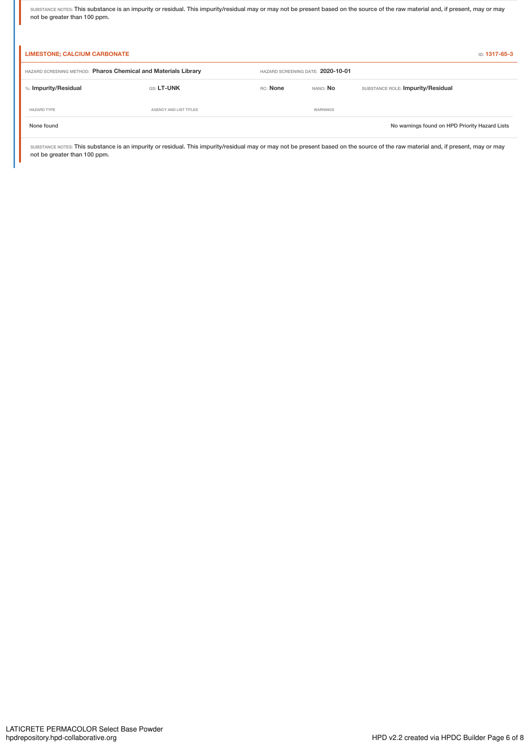SUBSTANCE NOTES: This substance is an impurity or residual. This impurity/residual may or may not be present based on the source of the raw material and, if present, may or may not be greater than 100 ppm.

| <b>LIMESTONE; CALCIUM CARBONATE</b><br>ID: 1317-65-3           |                        |                                   |                 |                                                |
|----------------------------------------------------------------|------------------------|-----------------------------------|-----------------|------------------------------------------------|
| HAZARD SCREENING METHOD: Pharos Chemical and Materials Library |                        | HAZARD SCREENING DATE: 2020-10-01 |                 |                                                |
| %: Impurity/Residual                                           | GS: LT-UNK             | RC: None                          | NANO: <b>No</b> | SUBSTANCE ROLE: Impurity/Residual              |
| <b>HAZARD TYPE</b>                                             | AGENCY AND LIST TITLES |                                   | WARNINGS        |                                                |
| None found                                                     |                        |                                   |                 | No warnings found on HPD Priority Hazard Lists |

SUBSTANCE NOTES: This substance is an impurity or residual. This impurity/residual may or may not be present based on the source of the raw material and, if present, may or may not be greater than 100 ppm.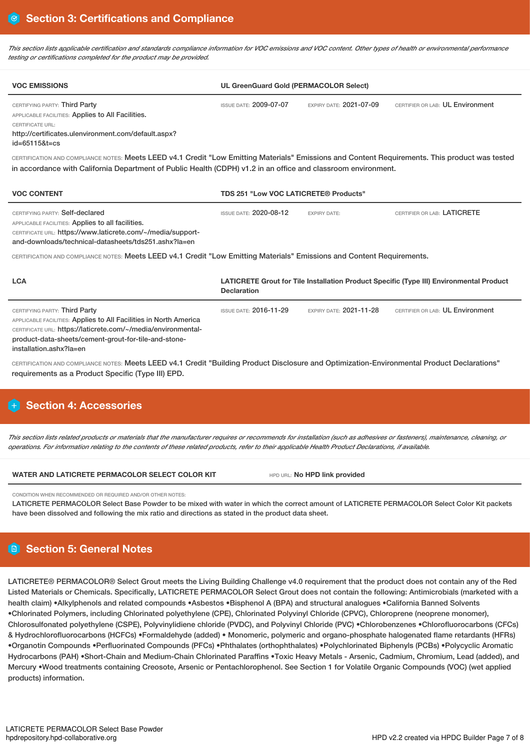This section lists applicable certification and standards compliance information for VOC emissions and VOC content. Other types of health or environmental performance *testing or certifications completed for the product may be provided.*

| <b>VOC EMISSIONS</b>                                                                                                                                                                                                                                                                                                                                                                                                                               | <b>UL GreenGuard Gold (PERMACOLOR Select)</b> |                                |                                                                                         |  |  |
|----------------------------------------------------------------------------------------------------------------------------------------------------------------------------------------------------------------------------------------------------------------------------------------------------------------------------------------------------------------------------------------------------------------------------------------------------|-----------------------------------------------|--------------------------------|-----------------------------------------------------------------------------------------|--|--|
| CERTIFYING PARTY: Third Party<br>APPLICABLE FACILITIES: Applies to All Facilities.<br>CERTIFICATE URL:<br>http://certificates.ulenvironment.com/default.aspx?<br>id=65115&t=cs<br>CERTIFICATION AND COMPLIANCE NOTES: Meets LEED v4.1 Credit "Low Emitting Materials" Emissions and Content Requirements. This product was tested<br>in accordance with California Department of Public Health (CDPH) v1.2 in an office and classroom environment. | <b>ISSUE DATE: 2009-07-07</b>                 | EXPIRY DATE: 2021-07-09        | CERTIFIER OR LAB: UL Environment                                                        |  |  |
| <b>VOC CONTENT</b>                                                                                                                                                                                                                                                                                                                                                                                                                                 | TDS 251 "Low VOC LATICRETE® Products"         |                                |                                                                                         |  |  |
| CERTIFYING PARTY: Self-declared<br>APPLICABLE FACILITIES: Applies to all facilities.<br>CERTIFICATE URL: https://www.laticrete.com/~/media/support-<br>and-downloads/technical-datasheets/tds251.ashx?la=en<br>CERTIFICATION AND COMPLIANCE NOTES: Meets LEED v4.1 Credit "Low Emitting Materials" Emissions and Content Requirements.                                                                                                             | <b>ISSUE DATE: 2020-08-12</b>                 | <b>EXPIRY DATE:</b>            | CERTIFIER OR LAB: LATICRETE                                                             |  |  |
| <b>LCA</b>                                                                                                                                                                                                                                                                                                                                                                                                                                         | <b>Declaration</b>                            |                                | LATICRETE Grout for Tile Installation Product Specific (Type III) Environmental Product |  |  |
| CERTIFYING PARTY: Third Party<br>APPLICABLE FACILITIES: Applies to All Facilities in North America<br>CERTIFICATE URL: https://laticrete.com/~/media/environmental-<br>product-data-sheets/cement-grout-for-tile-and-stone-<br>installation.ashx?la=en                                                                                                                                                                                             | <b>ISSUE DATE: 2016-11-29</b>                 | <b>EXPIRY DATE: 2021-11-28</b> | CERTIFIER OR LAB: UL Environment                                                        |  |  |
| CERTIFICATION AND COMPLIANCE NOTES: Meets LEED v4.1 Credit "Building Product Disclosure and Optimization-Environmental Product Declarations"<br>requirements as a Product Specific (Type III) EPD.                                                                                                                                                                                                                                                 |                                               |                                |                                                                                         |  |  |

# **H** Section 4: Accessories

This section lists related products or materials that the manufacturer requires or recommends for installation (such as adhesives or fasteners), maintenance, cleaning, or operations. For information relating to the contents of these related products, refer to their applicable Health Product Declarations, if available.

#### **WATER AND LATICRETE PERMACOLOR SELECT COLOR KIT** HPD URL: **No HPD link provided**

CONDITION WHEN RECOMMENDED OR REQUIRED AND/OR OTHER NOTES:

LATICRETE PERMACOLOR Select Base Powder to be mixed with water in which the correct amount of LATICRETE PERMACOLOR Select Color Kit packets have been dissolved and following the mix ratio and directions as stated in the product data sheet.

# **Section 5: General Notes**

LATICRETE® PERMACOLOR® Select Grout meets the Living Building Challenge v4.0 requirement that the product does not contain any of the Red Listed Materials or Chemicals. Specifically, LATICRETE PERMACOLOR Select Grout does not contain the following: Antimicrobials (marketed with a health claim) •Alkylphenols and related compounds •Asbestos •Bisphenol A (BPA) and structural analogues •California Banned Solvents •Chlorinated Polymers, including Chlorinated polyethylene (CPE), Chlorinated Polyvinyl Chloride (CPVC), Chloroprene (neoprene monomer), Chlorosulfonated polyethylene (CSPE), Polyvinylidiene chloride (PVDC), and Polyvinyl Chloride (PVC) •Chlorobenzenes •Chlorofluorocarbons (CFCs) & Hydrochlorofluorocarbons (HCFCs) •Formaldehyde (added) • Monomeric, polymeric and organo-phosphate halogenated flame retardants (HFRs) •Organotin Compounds •Perfluorinated Compounds (PFCs) •Phthalates (orthophthalates) •Polychlorinated Biphenyls (PCBs) •Polycyclic Aromatic Hydrocarbons (PAH) •Short-Chain and Medium-Chain Chlorinated Paraffins •Toxic Heavy Metals - Arsenic, Cadmium, Chromium, Lead (added), and Mercury •Wood treatments containing Creosote, Arsenic or Pentachlorophenol. See Section 1 for Volatile Organic Compounds (VOC) (wet applied products) information.